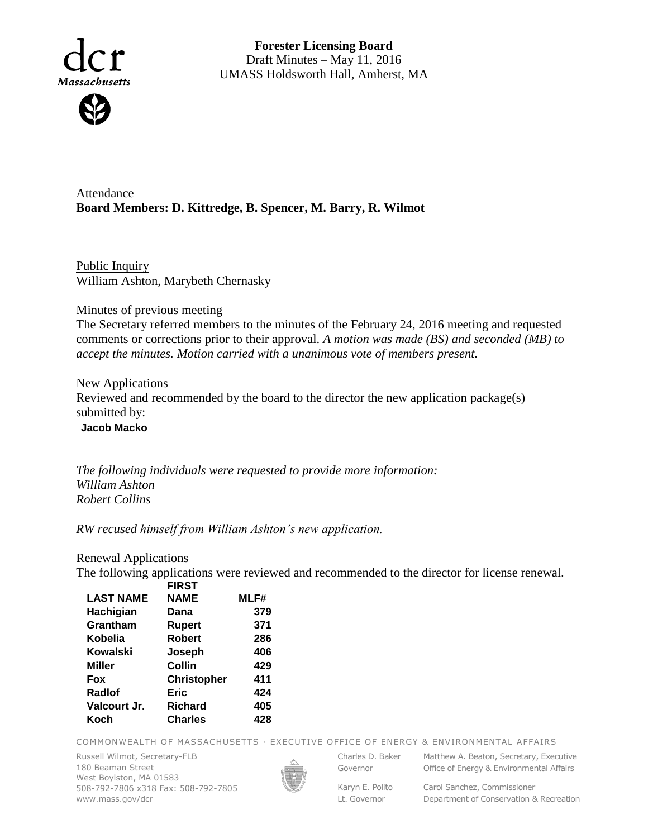

**Forester Licensing Board**  Draft Minutes – May 11, 2016 UMASS Holdsworth Hall, Amherst, MA

Attendance **Board Members: D. Kittredge, B. Spencer, M. Barry, R. Wilmot**

Public Inquiry William Ashton, Marybeth Chernasky

## Minutes of previous meeting

The Secretary referred members to the minutes of the February 24, 2016 meeting and requested comments or corrections prior to their approval. *A motion was made (BS) and seconded (MB) to accept the minutes. Motion carried with a unanimous vote of members present.*

## **New Applications**

Reviewed and recommended by the board to the director the new application package(s) submitted by:

**Jacob Macko**

*The following individuals were requested to provide more information: William Ashton Robert Collins* 

*RW recused himself from William Ashton's new application.*

## Renewal Applications

The following applications were reviewed and recommended to the director for license renewal.

|                  | <b>FIRST</b>       |      |
|------------------|--------------------|------|
| <b>LAST NAME</b> | <b>NAME</b>        | MLF# |
| Hachigian        | Dana               | 379  |
| Grantham         | <b>Rupert</b>      | 371  |
| Kobelia          | <b>Robert</b>      | 286  |
| Kowalski         | Joseph             | 406  |
| <b>Miller</b>    | Collin             | 429  |
| <b>Fox</b>       | <b>Christopher</b> | 411  |
| Radiof           | Eric               | 424  |
| Valcourt Jr.     | <b>Richard</b>     | 405  |
| Koch             | <b>Charles</b>     | 428  |
|                  |                    |      |

COMMONWEALTH OF MASSACHUSETTS · EXECUTIVE OFFICE OF ENERGY & ENVIRONMENTAL AFFAIRS

Russell Wilmot, Secretary-FLB 180 Beaman Street West Boylston, MA 01583 508-792-7806 x318 Fax: 508-792-7805 www.mass.gov/dcr



Governor

Charles D. Baker Matthew A. Beaton, Secretary, Executive Office of Energy & Environmental Affairs

Lt. Governor

Karyn E. Polito Carol Sanchez, Commissioner Department of Conservation & Recreation